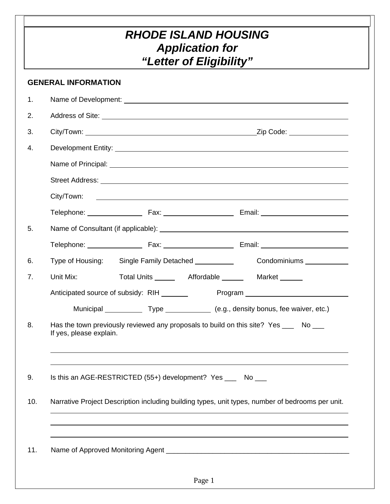## *RHODE ISLAND HOUSING Application for "Letter of Eligibility"*

|     | <b>GENERAL INFORMATION</b>                                                                                                                                                                                                           |  |  |  |  |  |
|-----|--------------------------------------------------------------------------------------------------------------------------------------------------------------------------------------------------------------------------------------|--|--|--|--|--|
| 1.  |                                                                                                                                                                                                                                      |  |  |  |  |  |
| 2.  | Address of Site: <u>example and the set of the set of the set of the set of the set of the set of the set of the set of the set of the set of the set of the set of the set of the set of the set of the set of the set of the s</u> |  |  |  |  |  |
| 3.  |                                                                                                                                                                                                                                      |  |  |  |  |  |
| 4.  |                                                                                                                                                                                                                                      |  |  |  |  |  |
|     |                                                                                                                                                                                                                                      |  |  |  |  |  |
|     | Street Address: Lawrence and Contract and Contract and Contract and Contract and Contract and Contract and Contract and Contract and Contract and Contract and Contract and Contract and Contract and Contract and Contract an       |  |  |  |  |  |
|     | City/Town:<br><u> 1989 - Johann Harry Harry Harry Harry Harry Harry Harry Harry Harry Harry Harry Harry Harry Harry Harry Harry</u>                                                                                                  |  |  |  |  |  |
|     |                                                                                                                                                                                                                                      |  |  |  |  |  |
| 5.  |                                                                                                                                                                                                                                      |  |  |  |  |  |
|     |                                                                                                                                                                                                                                      |  |  |  |  |  |
| 6.  | Single Family Detached <b>Condominiums Condominiums Condominiums CONDOMINIUM</b><br>Type of Housing:                                                                                                                                 |  |  |  |  |  |
| 7.  | Total Units _________ Affordable _________ Market ______<br>Unit Mix:                                                                                                                                                                |  |  |  |  |  |
|     |                                                                                                                                                                                                                                      |  |  |  |  |  |
|     | Municipal _______________Type ________________ (e.g., density bonus, fee waiver, etc.)                                                                                                                                               |  |  |  |  |  |
| 8.  | Has the town previously reviewed any proposals to build on this site? Yes ___ No ___<br>If yes, please explain.                                                                                                                      |  |  |  |  |  |
|     |                                                                                                                                                                                                                                      |  |  |  |  |  |
| 9.  | Is this an AGE-RESTRICTED (55+) development? Yes ____ No ___                                                                                                                                                                         |  |  |  |  |  |
| 10. | Narrative Project Description including building types, unit types, number of bedrooms per unit.                                                                                                                                     |  |  |  |  |  |
|     |                                                                                                                                                                                                                                      |  |  |  |  |  |
| 11. |                                                                                                                                                                                                                                      |  |  |  |  |  |
|     | Page 1                                                                                                                                                                                                                               |  |  |  |  |  |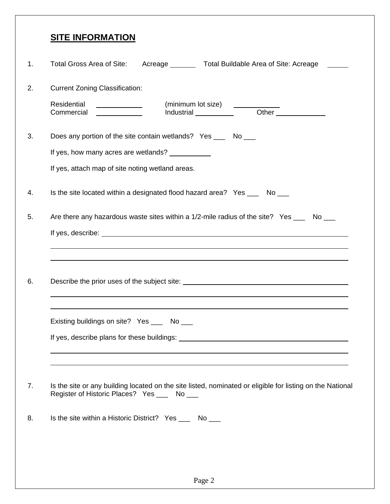### **SITE INFORMATION**

| 1. | Total Gross Area of Site:<br>Acreage __________ Total Buildable Area of Site: Acreage                                                                                                                                                |
|----|--------------------------------------------------------------------------------------------------------------------------------------------------------------------------------------------------------------------------------------|
| 2. | <b>Current Zoning Classification:</b>                                                                                                                                                                                                |
|    | Residential<br>(minimum lot size) <u>___________</u><br>Industrial Other<br>Commercial<br><u> 1989 - Johann Barbara, martin a</u>                                                                                                    |
| 3. | Does any portion of the site contain wetlands? Yes _____ No ____                                                                                                                                                                     |
|    | If yes, how many acres are wetlands? ___________                                                                                                                                                                                     |
|    | If yes, attach map of site noting wetland areas.                                                                                                                                                                                     |
| 4. | Is the site located within a designated flood hazard area? Yes ____ No ___                                                                                                                                                           |
| 5. | Are there any hazardous waste sites within a 1/2-mile radius of the site? Yes ___ No __                                                                                                                                              |
|    | If yes, describe: <u>the contract of the contract of the contract of the contract of the contract of the contract of the contract of the contract of the contract of the contract of the contract of the contract of the contrac</u> |
| 6. |                                                                                                                                                                                                                                      |
|    | Existing buildings on site? Yes ___ No ___                                                                                                                                                                                           |
|    | If yes, describe plans for these buildings: North Contract on the contract of the set of the set of the set of the set of the set of the set of the set of the set of the set of the set of the set of the set of the set of t       |
| 7. | Is the site or any building located on the site listed, nominated or eligible for listing on the National<br>Register of Historic Places? Yes ___ No ___                                                                             |
| 8. | Is the site within a Historic District? Yes _____ No ____                                                                                                                                                                            |
|    |                                                                                                                                                                                                                                      |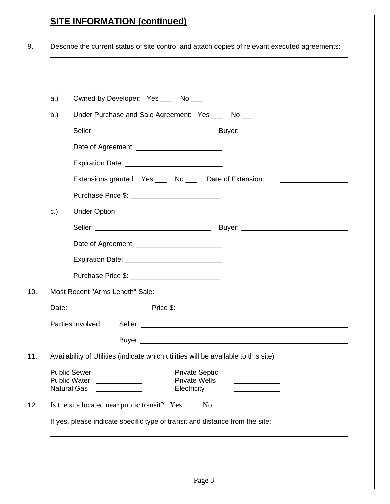# **SITE INFORMATION (continued)**

| a.)                                                                                 | Owned by Developer: Yes ____ No ___                                                                            |  |  |  |  |  |
|-------------------------------------------------------------------------------------|----------------------------------------------------------------------------------------------------------------|--|--|--|--|--|
| b.)                                                                                 | Under Purchase and Sale Agreement: Yes ___ No __                                                               |  |  |  |  |  |
|                                                                                     |                                                                                                                |  |  |  |  |  |
|                                                                                     |                                                                                                                |  |  |  |  |  |
|                                                                                     |                                                                                                                |  |  |  |  |  |
|                                                                                     | Extensions granted: Yes ____ No ___ Date of Extension:                                                         |  |  |  |  |  |
|                                                                                     |                                                                                                                |  |  |  |  |  |
| c.)                                                                                 | <b>Under Option</b>                                                                                            |  |  |  |  |  |
|                                                                                     |                                                                                                                |  |  |  |  |  |
|                                                                                     |                                                                                                                |  |  |  |  |  |
|                                                                                     | Expiration Date: _________________________________                                                             |  |  |  |  |  |
|                                                                                     | Purchase Price \$: ____________________________                                                                |  |  |  |  |  |
|                                                                                     | Most Recent "Arms Length" Sale:                                                                                |  |  |  |  |  |
|                                                                                     | Price \$:                                                                                                      |  |  |  |  |  |
|                                                                                     | Parties involved: Seller:                                                                                      |  |  |  |  |  |
|                                                                                     |                                                                                                                |  |  |  |  |  |
| Availability of Utilities (indicate which utilities will be available to this site) |                                                                                                                |  |  |  |  |  |
|                                                                                     | Public Sewer ___________<br><b>Private Septic</b><br><b>Private Wells</b><br><b>Natural Gas</b><br>Electricity |  |  |  |  |  |
|                                                                                     | Is the site located near public transit? Yes ______ No _____                                                   |  |  |  |  |  |
|                                                                                     | If yes, please indicate specific type of transit and distance from the site:                                   |  |  |  |  |  |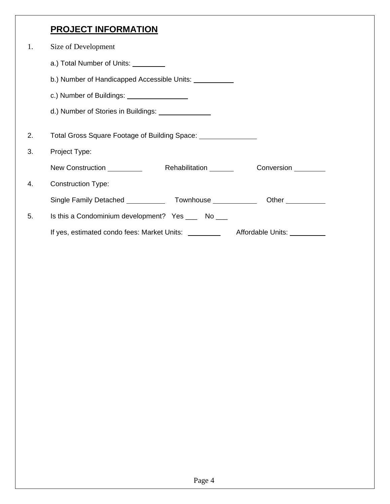### **PROJECT INFORMATION**

| 1. | Size of Development                                                                    |  |  |  |  |  |
|----|----------------------------------------------------------------------------------------|--|--|--|--|--|
|    | a.) Total Number of Units: _________                                                   |  |  |  |  |  |
|    | b.) Number of Handicapped Accessible Units: ___________                                |  |  |  |  |  |
|    | c.) Number of Buildings: ___________________                                           |  |  |  |  |  |
|    | d.) Number of Stories in Buildings: _______________                                    |  |  |  |  |  |
| 2. | Total Gross Square Footage of Building Space: 1986 1997                                |  |  |  |  |  |
| 3. | Project Type:                                                                          |  |  |  |  |  |
|    | New Construction <u>entitled</u><br>Rehabilitation <b>Rehabilitation</b><br>Conversion |  |  |  |  |  |
| 4. | <b>Construction Type:</b>                                                              |  |  |  |  |  |
|    |                                                                                        |  |  |  |  |  |
| 5. | Is this a Condominium development? Yes _____ No ____                                   |  |  |  |  |  |
|    | If yes, estimated condo fees: Market Units:<br>Affordable Units: 1997                  |  |  |  |  |  |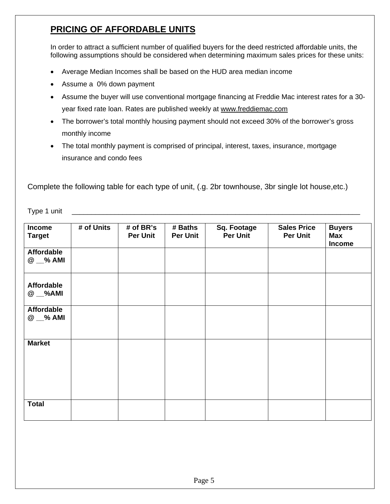#### **PRICING OF AFFORDABLE UNITS**

In order to attract a sufficient number of qualified buyers for the deed restricted affordable units, the following assumptions should be considered when determining maximum sales prices for these units:

- Average Median Incomes shall be based on the HUD area median income
- Assume a 0% down payment
- Assume the buyer will use conventional mortgage financing at Freddie Mac interest rates for a 30 year fixed rate loan. Rates are published weekly at www.freddiemac.com
- The borrower's total monthly housing payment should not exceed 30% of the borrower's gross monthly income
- The total monthly payment is comprised of principal, interest, taxes, insurance, mortgage insurance and condo fees

Complete the following table for each type of unit, (.g. 2br townhouse, 3br single lot house,etc.)

Type 1 unit \_\_\_\_\_\_\_\_\_\_\_\_\_\_\_\_\_\_\_\_\_\_\_\_\_\_\_\_\_\_\_\_\_\_\_\_\_\_\_\_\_\_\_\_\_\_\_\_\_\_\_\_\_\_\_\_\_\_\_\_\_\_\_\_\_\_\_\_\_\_\_\_\_\_

| Income<br><b>Target</b>       | # of Units | # of BR's<br><b>Per Unit</b> | # Baths<br><b>Per Unit</b> | <b>Sq. Footage</b><br><b>Per Unit</b> | <b>Sales Price</b><br><b>Per Unit</b> | <b>Buyers</b><br>Max<br><b>Income</b> |
|-------------------------------|------------|------------------------------|----------------------------|---------------------------------------|---------------------------------------|---------------------------------------|
| <b>Affordable</b><br>@ _% AMI |            |                              |                            |                                       |                                       |                                       |
| <b>Affordable</b><br>$@$ $M$  |            |                              |                            |                                       |                                       |                                       |
| <b>Affordable</b><br>@ _% AMI |            |                              |                            |                                       |                                       |                                       |
| <b>Market</b>                 |            |                              |                            |                                       |                                       |                                       |
| <b>Total</b>                  |            |                              |                            |                                       |                                       |                                       |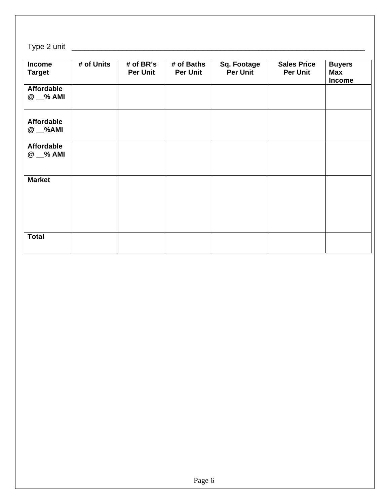### Type 2 unit \_\_\_\_\_\_\_\_\_\_\_\_\_\_\_\_\_\_\_\_\_\_\_\_\_\_\_\_\_\_\_\_\_\_\_\_\_\_\_\_\_\_\_\_\_\_\_\_\_\_\_\_\_\_\_\_\_\_\_\_\_\_\_\_\_\_\_\_\_

| <b>Income</b><br><b>Target</b> | # of Units | # of BR's<br><b>Per Unit</b> | # of Baths<br><b>Per Unit</b> | <b>Sq. Footage</b><br><b>Per Unit</b> | <b>Sales Price</b><br><b>Per Unit</b> | <b>Buyers</b><br>Max<br><b>Income</b> |
|--------------------------------|------------|------------------------------|-------------------------------|---------------------------------------|---------------------------------------|---------------------------------------|
| <b>Affordable</b><br>@ _% AMI  |            |                              |                               |                                       |                                       |                                       |
| <b>Affordable</b><br>$@$ $M$   |            |                              |                               |                                       |                                       |                                       |
| <b>Affordable</b><br>@ _% AMI  |            |                              |                               |                                       |                                       |                                       |
| <b>Market</b>                  |            |                              |                               |                                       |                                       |                                       |
| <b>Total</b>                   |            |                              |                               |                                       |                                       |                                       |